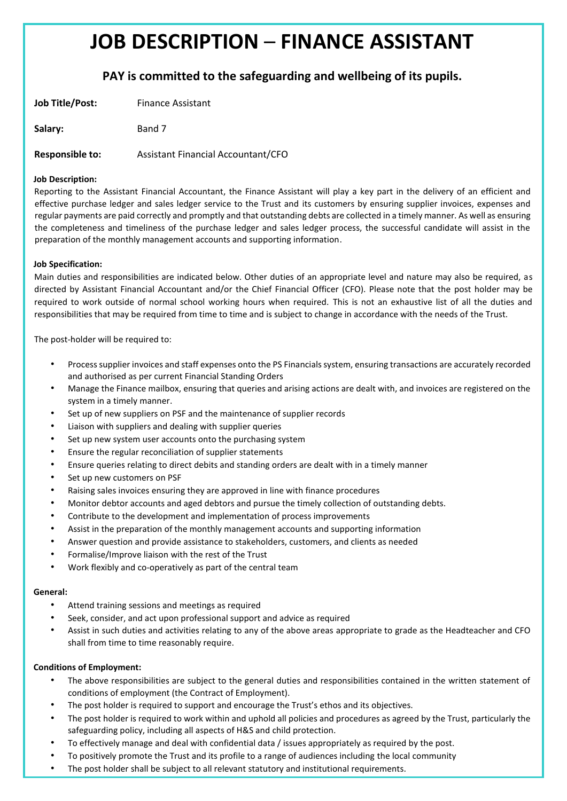# **JOB DESCRIPTION** – **FINANCE ASSISTANT**

# **PAY is committed to the safeguarding and wellbeing of its pupils.**

| Job Title/Post: | <b>Finance Assistant</b> |
|-----------------|--------------------------|
|                 |                          |

**Salary:** Band 7

**Responsible to:** Assistant Financial Accountant/CFO

## **Job Description:**

Reporting to the Assistant Financial Accountant, the Finance Assistant will play a key part in the delivery of an efficient and effective purchase ledger and sales ledger service to the Trust and its customers by ensuring supplier invoices, expenses and regular payments are paid correctly and promptly and that outstanding debts are collected in a timely manner. As well as ensuring the completeness and timeliness of the purchase ledger and sales ledger process, the successful candidate will assist in the preparation of the monthly management accounts and supporting information.

## **Job Specification:**

Main duties and responsibilities are indicated below. Other duties of an appropriate level and nature may also be required, as directed by Assistant Financial Accountant and/or the Chief Financial Officer (CFO). Please note that the post holder may be required to work outside of normal school working hours when required. This is not an exhaustive list of all the duties and responsibilities that may be required from time to time and is subject to change in accordance with the needs of the Trust.

The post-holder will be required to:

- Process supplier invoices and staff expenses onto the PS Financials system, ensuring transactions are accurately recorded and authorised as per current Financial Standing Orders
- Manage the Finance mailbox, ensuring that queries and arising actions are dealt with, and invoices are registered on the system in a timely manner.
- Set up of new suppliers on PSF and the maintenance of supplier records
- Liaison with suppliers and dealing with supplier queries
- Set up new system user accounts onto the purchasing system
- Ensure the regular reconciliation of supplier statements
- Ensure queries relating to direct debits and standing orders are dealt with in a timely manner
- Set up new customers on PSF
- Raising sales invoices ensuring they are approved in line with finance procedures
- Monitor debtor accounts and aged debtors and pursue the timely collection of outstanding debts.
- Contribute to the development and implementation of process improvements
- Assist in the preparation of the monthly management accounts and supporting information
- Answer question and provide assistance to stakeholders, customers, and clients as needed
- Formalise/Improve liaison with the rest of the Trust
- Work flexibly and co-operatively as part of the central team

#### **General:**

- Attend training sessions and meetings as required
- Seek, consider, and act upon professional support and advice as required
- Assist in such duties and activities relating to any of the above areas appropriate to grade as the Headteacher and CFO shall from time to time reasonably require.

#### **Conditions of Employment:**

- The above responsibilities are subject to the general duties and responsibilities contained in the written statement of conditions of employment (the Contract of Employment).
- The post holder is required to support and encourage the Trust's ethos and its objectives.
- The post holder is required to work within and uphold all policies and procedures as agreed by the Trust, particularly the safeguarding policy, including all aspects of H&S and child protection.
- To effectively manage and deal with confidential data / issues appropriately as required by the post.
- To positively promote the Trust and its profile to a range of audiences including the local community
- The post holder shall be subject to all relevant statutory and institutional requirements.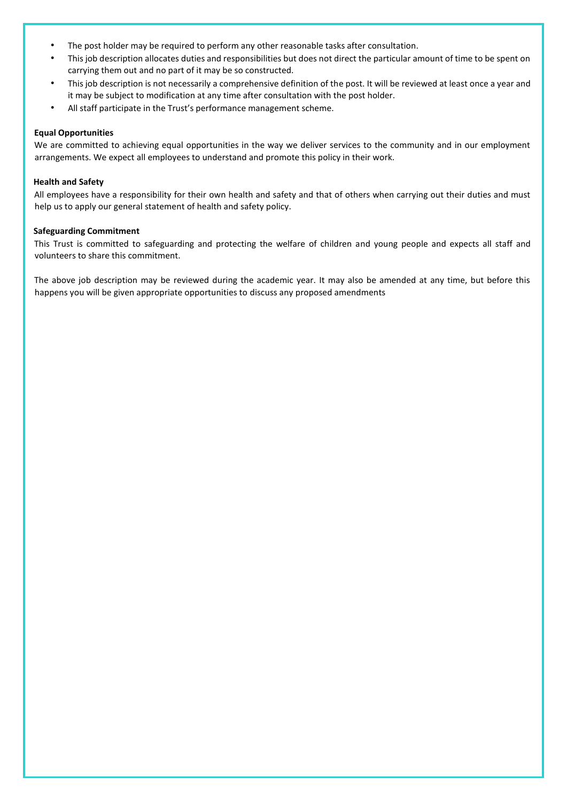- The post holder may be required to perform any other reasonable tasks after consultation.
- This job description allocates duties and responsibilities but does not direct the particular amount of time to be spent on carrying them out and no part of it may be so constructed.
- This job description is not necessarily a comprehensive definition of the post. It will be reviewed at least once a year and it may be subject to modification at any time after consultation with the post holder.
- All staff participate in the Trust's performance management scheme.

#### **Equal Opportunities**

We are committed to achieving equal opportunities in the way we deliver services to the community and in our employment arrangements. We expect all employees to understand and promote this policy in their work.

#### **Health and Safety**

All employees have a responsibility for their own health and safety and that of others when carrying out their duties and must help us to apply our general statement of health and safety policy.

#### **Safeguarding Commitment**

This Trust is committed to safeguarding and protecting the welfare of children and young people and expects all staff and volunteers to share this commitment.

The above job description may be reviewed during the academic year. It may also be amended at any time, but before this happens you will be given appropriate opportunities to discuss any proposed amendments